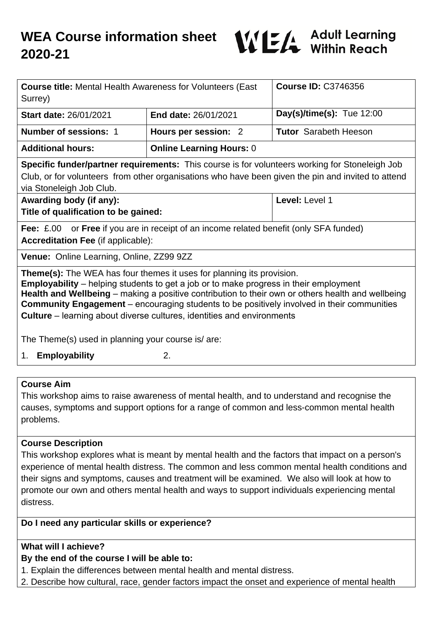

| <b>Course title: Mental Health Awareness for Volunteers (East</b><br>Surrey)                                                                                                                                                                                                                                                                                                                                                                                            |                                 | <b>Course ID: C3746356</b>   |
|-------------------------------------------------------------------------------------------------------------------------------------------------------------------------------------------------------------------------------------------------------------------------------------------------------------------------------------------------------------------------------------------------------------------------------------------------------------------------|---------------------------------|------------------------------|
| <b>Start date: 26/01/2021</b>                                                                                                                                                                                                                                                                                                                                                                                                                                           | End date: 26/01/2021            | Day(s)/time(s): Tue $12:00$  |
| <b>Number of sessions: 1</b>                                                                                                                                                                                                                                                                                                                                                                                                                                            | Hours per session: 2            | <b>Tutor</b> Sarabeth Heeson |
| <b>Additional hours:</b>                                                                                                                                                                                                                                                                                                                                                                                                                                                | <b>Online Learning Hours: 0</b> |                              |
| <b>Specific funder/partner requirements:</b> This course is for volunteers working for Stoneleigh Job<br>Club, or for volunteers from other organisations who have been given the pin and invited to attend<br>via Stoneleigh Job Club.                                                                                                                                                                                                                                 |                                 |                              |
| Awarding body (if any):<br>Title of qualification to be gained:                                                                                                                                                                                                                                                                                                                                                                                                         |                                 | Level: Level 1               |
| <b>Fee:</b> £.00 or <b>Free</b> if you are in receipt of an income related benefit (only SFA funded)<br><b>Accreditation Fee (if applicable):</b>                                                                                                                                                                                                                                                                                                                       |                                 |                              |
| Venue: Online Learning, Online, ZZ99 9ZZ                                                                                                                                                                                                                                                                                                                                                                                                                                |                                 |                              |
| <b>Theme(s):</b> The WEA has four themes it uses for planning its provision.<br><b>Employability</b> – helping students to get a job or to make progress in their employment<br>Health and Wellbeing – making a positive contribution to their own or others health and wellbeing<br><b>Community Engagement</b> - encouraging students to be positively involved in their communities<br><b>Culture</b> – learning about diverse cultures, identities and environments |                                 |                              |
| The Theme(s) used in planning your course is/are:                                                                                                                                                                                                                                                                                                                                                                                                                       |                                 |                              |
| <b>Employability</b><br>2.<br>1.                                                                                                                                                                                                                                                                                                                                                                                                                                        |                                 |                              |

#### **Course Aim**

This workshop aims to raise awareness of mental health, and to understand and recognise the causes, symptoms and support options for a range of common and less-common mental health problems.

#### **Course Description**

This workshop explores what is meant by mental health and the factors that impact on a person's experience of mental health distress. The common and less common mental health conditions and their signs and symptoms, causes and treatment will be examined. We also will look at how to promote our own and others mental health and ways to support individuals experiencing mental distress.

## **Do I need any particular skills or experience?**

### **What will I achieve?**

# **By the end of the course I will be able to:**

1. Explain the differences between mental health and mental distress.

2. Describe how cultural, race, gender factors impact the onset and experience of mental health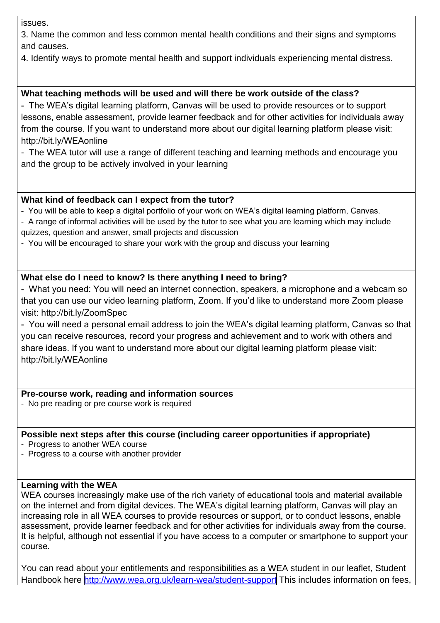issues.

3. Name the common and less common mental health conditions and their signs and symptoms and causes.

4. Identify ways to promote mental health and support individuals experiencing mental distress.

## **What teaching methods will be used and will there be work outside of the class?**

- The WEA's digital learning platform, Canvas will be used to provide resources or to support lessons, enable assessment, provide learner feedback and for other activities for individuals away from the course. If you want to understand more about our digital learning platform please visit: http://bit.ly/WEAonline

- The WEA tutor will use a range of different teaching and learning methods and encourage you and the group to be actively involved in your learning

#### **What kind of feedback can I expect from the tutor?**

- You will be able to keep a digital portfolio of your work on WEA's digital learning platform, Canvas.

- A range of informal activities will be used by the tutor to see what you are learning which may include quizzes, question and answer, small projects and discussion

- You will be encouraged to share your work with the group and discuss your learning

## **What else do I need to know? Is there anything I need to bring?**

- What you need: You will need an internet connection, speakers, a microphone and a webcam so that you can use our video learning platform, Zoom. If you'd like to understand more Zoom please visit: http://bit.ly/ZoomSpec

- You will need a personal email address to join the WEA's digital learning platform, Canvas so that you can receive resources, record your progress and achievement and to work with others and share ideas. If you want to understand more about our digital learning platform please visit: http://bit.ly/WEAonline

### **Pre-course work, reading and information sources**

- No pre reading or pre course work is required

#### **Possible next steps after this course (including career opportunities if appropriate)**

- Progress to another WEA course
- Progress to a course with another provider

#### **Learning with the WEA**

WEA courses increasingly make use of the rich variety of educational tools and material available on the internet and from digital devices. The WEA's digital learning platform, Canvas will play an increasing role in all WEA courses to provide resources or support, or to conduct lessons, enable assessment, provide learner feedback and for other activities for individuals away from the course. It is helpful, although not essential if you have access to a computer or smartphone to support your course*.*

You can read about your entitlements and responsibilities as a WEA student in our leaflet, Student Handbook here <http://www.wea.org.uk/learn-wea/student-support> This includes information on fees,